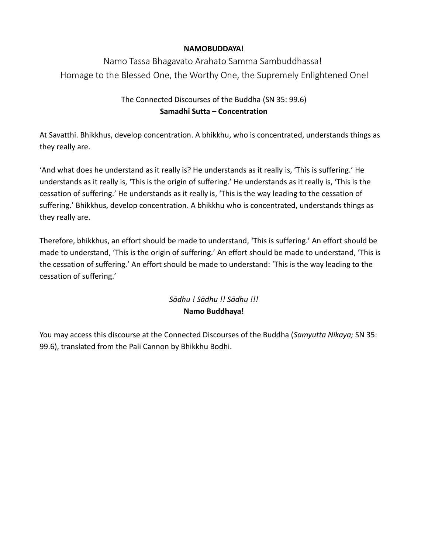### **NAMOBUDDAYA!**

Namo Tassa Bhagavato Arahato Samma Sambuddhassa! Homage to the Blessed One, the Worthy One, the Supremely Enlightened One!

## The Connected Discourses of the Buddha (SN 35: 99.6) **Samadhi Sutta – Concentration**

At Savatthi. Bhikkhus, develop concentration. A bhikkhu, who is concentrated, understands things as they really are.

'And what does he understand as it really is? He understands as it really is, 'This is suffering.' He understands as it really is, 'This is the origin of suffering.' He understands as it really is, 'This is the cessation of suffering.' He understands as it really is, 'This is the way leading to the cessation of suffering.' Bhikkhus, develop concentration. A bhikkhu who is concentrated, understands things as they really are.

Therefore, bhikkhus, an effort should be made to understand, 'This is suffering.' An effort should be made to understand, 'This is the origin of suffering.' An effort should be made to understand, 'This is the cessation of suffering.' An effort should be made to understand: 'This is the way leading to the cessation of suffering.'

# *Sādhu ! Sādhu !! Sādhu !!!* **Namo Buddhaya!**

You may access this discourse at the Connected Discourses of the Buddha (*Samyutta Nikaya;* SN 35: 99.6), translated from the Pali Cannon by Bhikkhu Bodhi.